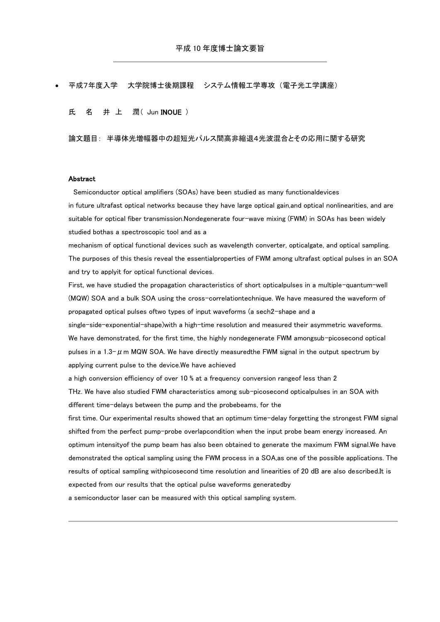## 平成7年度入学 大学院博士後期課程 システム情報工学専攻 (電子光工学講座)

氏 名 井 上 潤 ( Jun INOUE )

論文題目: 半導体光増幅器中の超短光パルス間高非縮退4光波混合とその応用に関する研究

## Abstract

Semiconductor optical amplifiers (SOAs) have been studied as many functionaldevices in future ultrafast optical networks because they have large optical gain,and optical nonlinearities, and are suitable for optical fiber transmission.Nondegenerate four-wave mixing (FWM) in SOAs has been widely studied bothas a spectroscopic tool and as a

mechanism of optical functional devices such as wavelength converter, opticalgate, and optical sampling. The purposes of this thesis reveal the essentialproperties of FWM among ultrafast optical pulses in an SOA and try to applyit for optical functional devices.

First, we have studied the propagation characteristics of short opticalpulses in a multiple-quantum-well (MQW) SOA and a bulk SOA using the cross-correlationtechnique. We have measured the waveform of propagated optical pulses oftwo types of input waveforms (a sech2-shape and a

single-side-exponential-shape)with a high-time resolution and measured their asymmetric waveforms. We have demonstrated, for the first time, the highly nondegenerate FWM amongsub-picosecond optical pulses in a 1.3- $\mu$  m MQW SOA. We have directly measuredthe FWM signal in the output spectrum by applying current pulse to the device.We have achieved

a high conversion efficiency of over 10 % at a frequency conversion rangeof less than 2

THz. We have also studied FWM characteristics among sub-picosecond opticalpulses in an SOA with different time-delays between the pump and the probebeams, for the

first time. Our experimental results showed that an optimum time-delay forgetting the strongest FWM signal shifted from the perfect pump-probe overlapcondition when the input probe beam energy increased. An optimum intensityof the pump beam has also been obtained to generate the maximum FWM signal.We have demonstrated the optical sampling using the FWM process in a SOA,as one of the possible applications. The results of optical sampling withpicosecond time resolution and linearities of 20 dB are also described.It is expected from our results that the optical pulse waveforms generatedby

a semiconductor laser can be measured with this optical sampling system.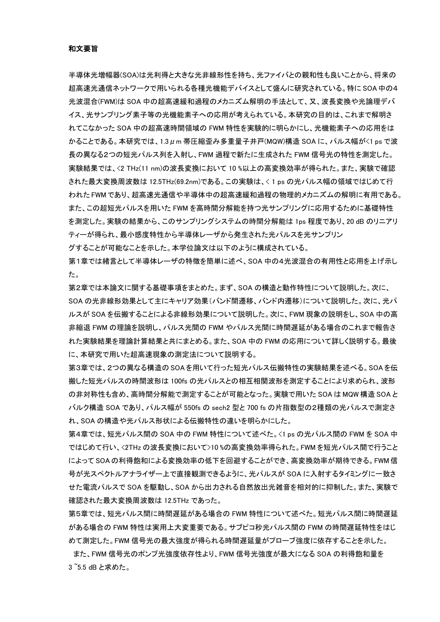半導体光増幅器(SOA)は光利得と大きな光非線形性を持ち、光ファイバとの親和性も良いことから、将来の 超高速光通信ネットワークで用いられる各種光機能デバイスとして盛んに研究されている。特に SOA 中の4 光波混合(FWM)は SOA 中の超高速緩和過程のメカニズム解明の手法として、又、波長変換や光論理デバ イス、光サンプリング素子等の光機能素子への応用が考えられている。本研究の目的は、これまで解明さ れてこなかった SOA 中の超高速時間領域の FWM 特性を実験的に明らかにし、光機能素子への応用をは かることである。本研究では、1.3μm 帯圧縮歪み多重量子井戸(MQW)構造 SOA に、パルス幅が<1 ps で波 長の異なる2つの短光パルス列を入射し、FWM 過程で新たに生成された FWM 信号光の特性を測定した。 実験結果では、<2 THz(11 nm)の波長変換において 10 %以上の高変換効率が得られた。また、実験で確認 された最大変換周波数は 12.5THz(69.2nm)である。この実験は、< 1 ps の光パルス幅の領域ではじめて行 われた FWM であり、超高速光通信や半導体中の超高速緩和過程の物理的メカニズムの解明に有用である。 また、この超短光パルスを用いた FWM を高時間分解能を持つ光サンプリングに応用するために基礎特性 を測定した。実験の結果から、このサンプリングシステムの時間分解能は 1ps 程度であり、20 dB のリニアリ ティーが得られ、最小感度特性から半導体レーザから発生された光パルスを光サンプリン

グすることが可能なことを示した。本学位論文は以下のように構成されている。

第1章では緒言として半導体レーザの特徴を簡単に述べ、SOA 中の4光波混合の有用性と応用を上げ示し た。

第2章では本論文に関する基礎事項をまとめた。まず、SOA の構造と動作特性について説明した。次に、 SOA の光非線形効果として主にキャリア効果(バンド間遷移、バンド内遷移)について説明した。次に、光パ ルスが SOA を伝搬することによる非線形効果について説明した。次に、FWM 現象の説明をし、SOA 中の高 非縮退 FWM の理論を説明し、パルス光間の FWM やパルス光間に時間遅延がある場合のこれまで報告さ れた実験結果を理論計算結果と共にまとめる。また、SOA 中の FWM の応用について詳しく説明する。最後 に、本研究で用いた超高速現象の測定法について説明する。

第3章では、2つの異なる構造のSOA を用いて行った短光パルス伝搬特性の実験結果を述べる。SOA を伝 搬した短光パルスの時間波形は 100fs の光パルスとの相互相関波形を測定することにより求められ、波形 の非対称性も含め、高時間分解能で測定することが可能となった。実験で用いた SOA は MQW 構造 SOA と バルク構造 SOA であり、パルス幅が 550fs の sech2 型と 700 fs の片指数型の2種類の光パルスで測定さ れ、SOA の構造や光パルス形状による伝搬特性の違いを明らかにした。

第4章では、短光パルス間の SOA 中の FWM 特性について述べた。<1 ps の光パルス間の FWM を SOA 中 ではじめて行い、<2THz の波長変換において>10 %の高変換効率得られた。FWM を短光パルス間で行うこと によって SOA の利得飽和による変換効率の低下を回避することができ、高変換効率が期待できる。FWM 信 号が光スペクトルアナライザー上で直接観測できるように、光パルスが SOA に入射するタイミングに一致さ せた電流パルスで SOA を駆動し、SOA から出力される自然放出光雑音を相対的に抑制した。また、実験で 確認された最大変換周波数は 12.5THz であった。

第5章では、短光パルス間に時間遅延がある場合の FWM 特性について述べた。短光パルス間に時間遅延 がある場合の FWM 特性は実用上大変重要である。サブピコ秒光パルス間の FWM の時間遅延特性をはじ めて測定した。FWM 信号光の最大強度が得られる時間遅延量がプローブ強度に依存することを示した。

また、FWM 信号光のポンプ光強度依存性より、FWM 信号光強度が最大になる SOA の利得飽和量を 3 ~5.5 dB と求めた。